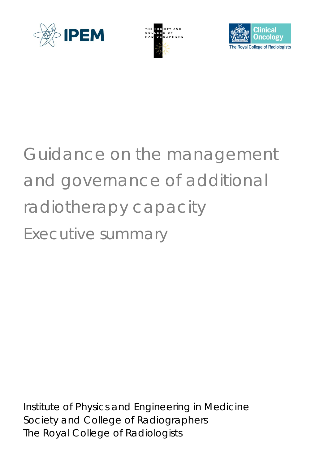





# Guidance on the management and governance of additional radiotherapy capacity Executive summary

Institute of Physics and Engineering in Medicine Society and College of Radiographers The Royal College of Radiologists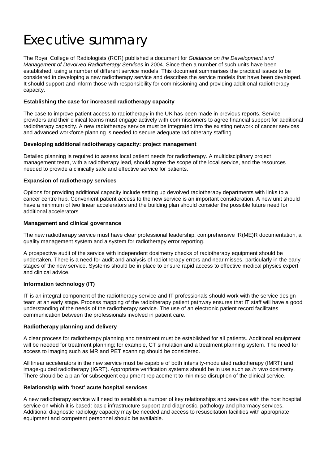## Executive summary

The Royal College of Radiologists (RCR) published a document for *Guidance on the Development and Management of Devolved Radiotherapy Services* in 2004. Since then a number of such units have been established, using a number of different service models. This document summarises the practical issues to be considered in developing a new radiotherapy service and describes the service models that have been developed. It should support and inform those with responsibility for commissioning and providing additional radiotherapy capacity.

#### **Establishing the case for increased radiotherapy capacity**

The case to improve patient access to radiotherapy in the UK has been made in previous reports. Service providers and their clinical teams must engage actively with commissioners to agree financial support for additional radiotherapy capacity. A new radiotherapy service must be integrated into the existing network of cancer services and advanced workforce planning is needed to secure adequate radiotherapy staffing.

#### **Developing additional radiotherapy capacity: project management**

Detailed planning is required to assess local patient needs for radiotherapy. A multidisciplinary project management team, with a radiotherapy lead, should agree the scope of the local service, and the resources needed to provide a clinically safe and effective service for patients.

#### **Expansion of radiotherapy services**

Options for providing additional capacity include setting up devolved radiotherapy departments with links to a cancer centre hub. Convenient patient access to the new service is an important consideration. A new unit should have a minimum of two linear accelerators and the building plan should consider the possible future need for additional accelerators.

#### **Management and clinical governance**

The new radiotherapy service must have clear professional leadership, comprehensive IR(ME)R documentation, a quality management system and a system for radiotherapy error reporting.

A prospective audit of the service with independent dosimetry checks of radiotherapy equipment should be undertaken. There is a need for audit and analysis of radiotherapy errors and near misses, particularly in the early stages of the new service. Systems should be in place to ensure rapid access to effective medical physics expert and clinical advice.

#### **Information technology (IT)**

IT is an integral component of the radiotherapy service and IT professionals should work with the service design team at an early stage. Process mapping of the radiotherapy patient pathway ensures that IT staff will have a good understanding of the needs of the radiotherapy service. The use of an electronic patient record facilitates communication between the professionals involved in patient care.

#### **Radiotherapy planning and delivery**

A clear process for radiotherapy planning and treatment must be established for all patients. Additional equipment will be needed for treatment planning; for example, CT simulation and a treatment planning system. The need for access to imaging such as MR and PET scanning should be considered.

All linear accelerators in the new service must be capable of both intensity-modulated radiotherapy (IMRT) and image-guided radiotherapy (IGRT). Appropriate verification systems should be in use such as *in vivo* dosimetry. There should be a plan for subsequent equipment replacement to minimise disruption of the clinical service.

#### **Relationship with 'host' acute hospital services**

A new radiotherapy service will need to establish a number of key relationships and services with the host hospital service on which it is based: basic infrastructure support and diagnostic, pathology and pharmacy services. Additional diagnostic radiology capacity may be needed and access to resuscitation facilities with appropriate equipment and competent personnel should be available.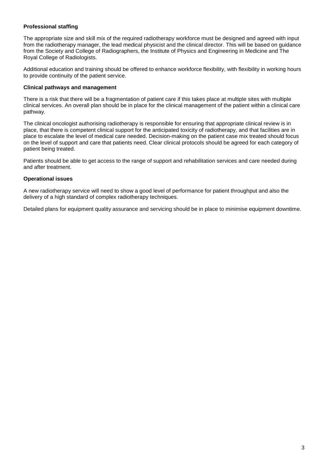### **Professional staffing**

The appropriate size and skill mix of the required radiotherapy workforce must be designed and agreed with input from the radiotherapy manager, the lead medical physicist and the clinical director. This will be based on guidance from the Society and College of Radiographers, the Institute of Physics and Engineering in Medicine and The Royal College of Radiologists.

Additional education and training should be offered to enhance workforce flexibility, with flexibility in working hours to provide continuity of the patient service.

#### **Clinical pathways and management**

There is a risk that there will be a fragmentation of patient care if this takes place at multiple sites with multiple clinical services. An overall plan should be in place for the clinical management of the patient within a clinical care pathway.

The clinical oncologist authorising radiotherapy is responsible for ensuring that appropriate clinical review is in place, that there is competent clinical support for the anticipated toxicity of radiotherapy, and that facilities are in place to escalate the level of medical care needed. Decision-making on the patient case mix treated should focus on the level of support and care that patients need. Clear clinical protocols should be agreed for each category of patient being treated.

Patients should be able to get access to the range of support and rehabilitation services and care needed during and after treatment.

#### **Operational issues**

A new radiotherapy service will need to show a good level of performance for patient throughput and also the delivery of a high standard of complex radiotherapy techniques.

Detailed plans for equipment quality assurance and servicing should be in place to minimise equipment downtime.